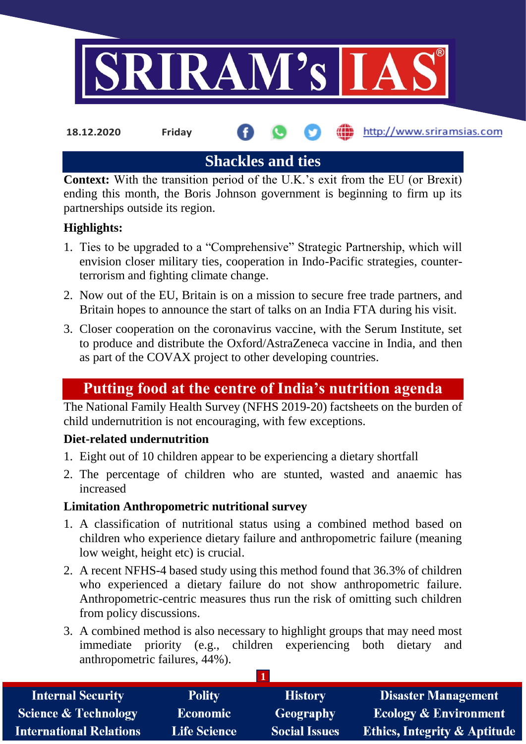

**18.12.2020 Friday**

**fin** http://www.sriramsias.com

**Shackles and ties**

**Context:** With the transition period of the U.K.'s exit from the EU (or Brexit) ending this month, the Boris Johnson government is beginning to firm up its partnerships outside its region.

# **Highlights:**

- 1. Ties to be upgraded to a "Comprehensive" Strategic Partnership, which will envision closer military ties, cooperation in Indo-Pacific strategies, counterterrorism and fighting climate change.
- 2. Now out of the EU, Britain is on a mission to secure free trade partners, and Britain hopes to announce the start of talks on an India FTA during his visit.
- 3. Closer cooperation on the coronavirus vaccine, with the Serum Institute, set to produce and distribute the Oxford/AstraZeneca vaccine in India, and then as part of the COVAX project to other developing countries.

# **Putting food at the centre of India's nutrition agenda**

The National Family Health Survey (NFHS 2019-20) factsheets on the burden of child undernutrition is not encouraging, with few exceptions.

# **Diet-related undernutrition**

- 1. Eight out of 10 children appear to be experiencing a dietary shortfall
- 2. The percentage of children who are stunted, wasted and anaemic has increased

## **Limitation Anthropometric nutritional survey**

- 1. A classification of nutritional status using a combined method based on children who experience dietary failure and anthropometric failure (meaning low weight, height etc) is crucial.
- 2. A recent NFHS-4 based study using this method found that 36.3% of children who experienced a dietary failure do not show anthropometric failure. Anthropometric-centric measures thus run the risk of omitting such children from policy discussions.
- 3. A combined method is also necessary to highlight groups that may need most immediate priority (e.g., children experiencing both dietary and anthropometric failures, 44%).

| <b>Internal Security</b>        | <b>Polity</b>       | <b>History</b>       | <b>Disaster Management</b>              |  |  |  |
|---------------------------------|---------------------|----------------------|-----------------------------------------|--|--|--|
| <b>Science &amp; Technology</b> | <b>Economic</b>     | <b>Geography</b>     | <b>Ecology &amp; Environment</b>        |  |  |  |
| <b>International Relations</b>  | <b>Life Science</b> | <b>Social Issues</b> | <b>Ethics, Integrity &amp; Aptitude</b> |  |  |  |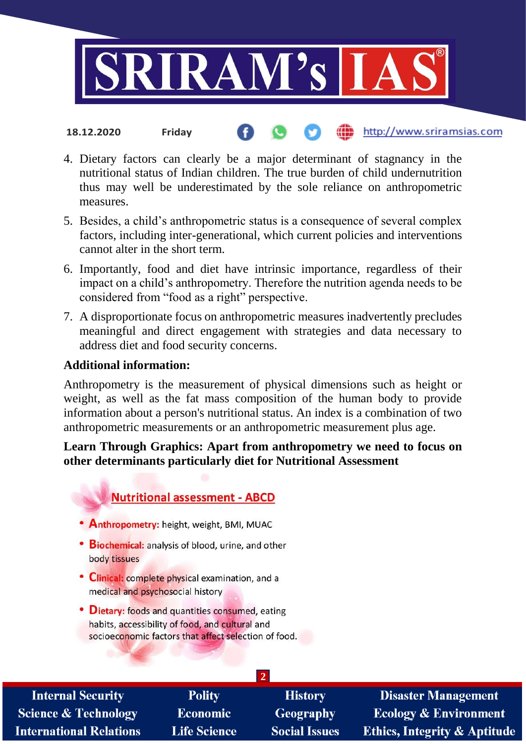

- http://www.sriramsias.com **18.12.2020 Friday**
- 4. Dietary factors can clearly be a major determinant of stagnancy in the nutritional status of Indian children. The true burden of child undernutrition thus may well be underestimated by the sole reliance on anthropometric measures.
- 5. Besides, a child's anthropometric status is a consequence of several complex factors, including inter-generational, which current policies and interventions cannot alter in the short term.
- 6. Importantly, food and diet have intrinsic importance, regardless of their impact on a child's anthropometry. Therefore the nutrition agenda needs to be considered from "food as a right" perspective.
- 7. A disproportionate focus on anthropometric measures inadvertently precludes meaningful and direct engagement with strategies and data necessary to address diet and food security concerns.

## **Additional information:**

Anthropometry is the measurement of physical dimensions such as height or weight, as well as the fat mass composition of the human body to provide information about a person's nutritional status. An index is a combination of two anthropometric measurements or an anthropometric measurement plus age.

#### **Learn Through Graphics: Apart from anthropometry we need to focus on other determinants particularly diet for Nutritional Assessment**

# **Nutritional assessment - ABCD**

- Anthropometry: height, weight, BMI, MUAC
- Biochemical: analysis of blood, urine, and other body tissues
- Clinical: complete physical examination, and a medical and psychosocial history
- Dietary: foods and quantities consumed, eating habits, accessibility of food, and cultural and socioeconomic factors that affect selection of food.

| <b>Internal Security</b>        | <b>Polity</b>       | <b>History</b>       | <b>Disaster Management</b>              |  |  |  |
|---------------------------------|---------------------|----------------------|-----------------------------------------|--|--|--|
| <b>Science &amp; Technology</b> | <b>Economic</b>     | <b>Geography</b>     | <b>Ecology &amp; Environment</b>        |  |  |  |
| International Relations         | <b>Life Science</b> | <b>Social Issues</b> | <b>Ethics, Integrity &amp; Aptitude</b> |  |  |  |